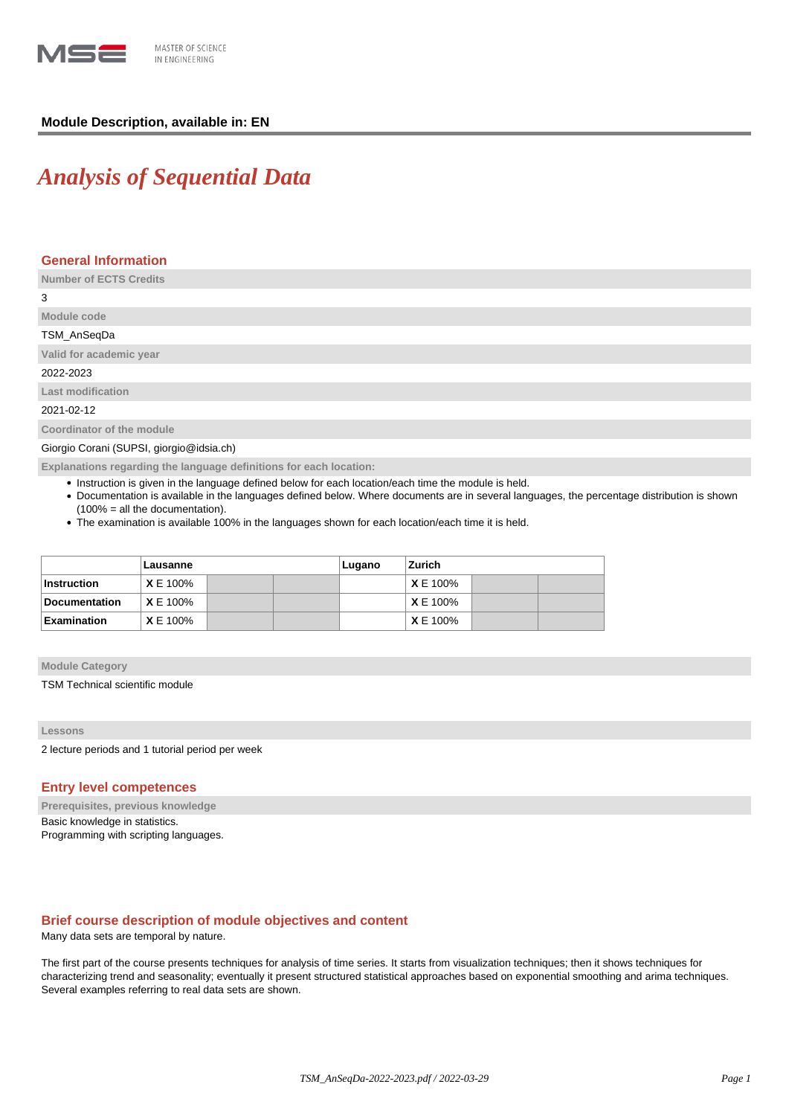

# **Module Description, available in: EN**

# *Analysis of Sequential Data*

# **General Information**

**Number of ECTS Credits**

3

# **Module code** TSM\_AnSeqDa

**Valid for academic year**

2022-2023

**Last modification**

2021-02-12

**Coordinator of the module**

Giorgio Corani (SUPSI, giorgio@idsia.ch)

**Explanations regarding the language definitions for each location:**

- Instruction is given in the language defined below for each location/each time the module is held.
- Documentation is available in the languages defined below. Where documents are in several languages, the percentage distribution is shown (100% = all the documentation).
- The examination is available 100% in the languages shown for each location/each time it is held.

|                    | Lausanne        |  |  | Lugano | Zurich          |  |  |
|--------------------|-----------------|--|--|--------|-----------------|--|--|
| <b>Instruction</b> | $X \to 100\%$   |  |  |        | <b>X</b> E 100% |  |  |
| Documentation      | <b>X</b> E 100% |  |  |        | <b>X</b> E 100% |  |  |
| <b>Examination</b> | $X \to 100\%$   |  |  |        | <b>X</b> E 100% |  |  |

**Module Category**

TSM Technical scientific module

## **Lessons**

2 lecture periods and 1 tutorial period per week

# **Entry level competences**

**Prerequisites, previous knowledge** Basic knowledge in statistics. Programming with scripting languages.

## **Brief course description of module objectives and content**

Many data sets are temporal by nature.

The first part of the course presents techniques for analysis of time series. It starts from visualization techniques; then it shows techniques for characterizing trend and seasonality; eventually it present structured statistical approaches based on exponential smoothing and arima techniques. Several examples referring to real data sets are shown.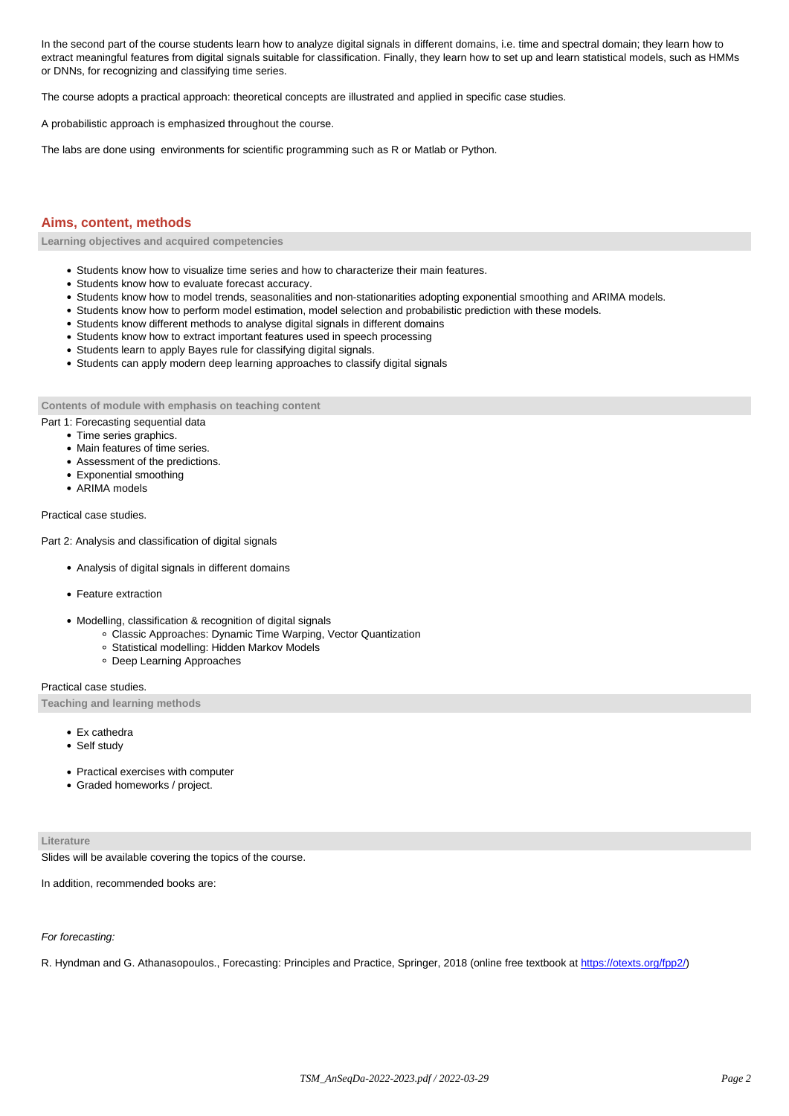In the second part of the course students learn how to analyze digital signals in different domains, i.e. time and spectral domain; they learn how to extract meaningful features from digital signals suitable for classification. Finally, they learn how to set up and learn statistical models, such as HMMs or DNNs, for recognizing and classifying time series.

The course adopts a practical approach: theoretical concepts are illustrated and applied in specific case studies.

A probabilistic approach is emphasized throughout the course.

The labs are done using environments for scientific programming such as R or Matlab or Python.

# **Aims, content, methods**

**Learning objectives and acquired competencies**

- Students know how to visualize time series and how to characterize their main features.
- Students know how to evaluate forecast accuracy.
- Students know how to model trends, seasonalities and non-stationarities adopting exponential smoothing and ARIMA models.
- Students know how to perform model estimation, model selection and probabilistic prediction with these models.
- Students know different methods to analyse digital signals in different domains
- Students know how to extract important features used in speech processing
- Students learn to apply Bayes rule for classifying digital signals.
- Students can apply modern deep learning approaches to classify digital signals

**Contents of module with emphasis on teaching content**

- Part 1: Forecasting sequential data
	- Time series graphics.
	- Main features of time series.
	- Assessment of the predictions.
	- Exponential smoothing
	- ARIMA models

Practical case studies.

Part 2: Analysis and classification of digital signals

- Analysis of digital signals in different domains
- Feature extraction
- Modelling, classification & recognition of digital signals
	- Classic Approaches: Dynamic Time Warping, Vector Quantization
	- Statistical modelling: Hidden Markov Models
	- Deep Learning Approaches

Practical case studies.

**Teaching and learning methods**

- Ex cathedra
- Self study
- Practical exercises with computer
- Graded homeworks / project.

### **Literature**

Slides will be available covering the topics of the course.

In addition, recommended books are:

#### For forecasting:

R. Hyndman and G. Athanasopoulos., Forecasting: Principles and Practice, Springer, 2018 (online free textbook at [https://otexts.org/fpp2/\)](https://otexts.org/fpp2/)